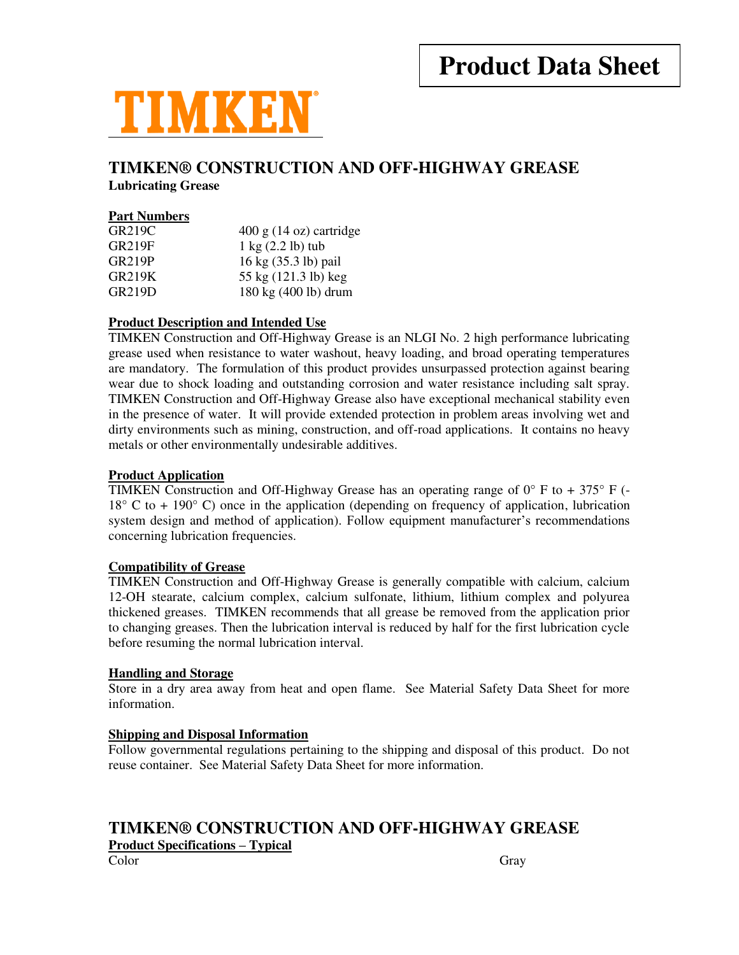

# **TIMKEN® CONSTRUCTION AND OFF-HIGHWAY GREASE**

**Lubricating Grease** 

#### **Part Numbers**

| <b>GR219C</b> | $400 \text{ g}$ (14 oz) cartridge     |
|---------------|---------------------------------------|
| <b>GR219F</b> | $1 \text{ kg}$ $(2.2 \text{ lb})$ tub |
| <b>GR219P</b> | 16 kg (35.3 lb) pail                  |
| GR219K        | 55 kg (121.3 lb) keg                  |
| <b>GR219D</b> | 180 kg (400 lb) drum                  |
|               |                                       |

## **Product Description and Intended Use**

TIMKEN Construction and Off-Highway Grease is an NLGI No. 2 high performance lubricating grease used when resistance to water washout, heavy loading, and broad operating temperatures are mandatory. The formulation of this product provides unsurpassed protection against bearing wear due to shock loading and outstanding corrosion and water resistance including salt spray. TIMKEN Construction and Off-Highway Grease also have exceptional mechanical stability even in the presence of water. It will provide extended protection in problem areas involving wet and dirty environments such as mining, construction, and off-road applications. It contains no heavy metals or other environmentally undesirable additives.

#### **Product Application**

TIMKEN Construction and Off-Highway Grease has an operating range of  $0^{\circ}$  F to + 375° F (- $18^{\circ}$  C to + 190 $^{\circ}$  C) once in the application (depending on frequency of application, lubrication system design and method of application). Follow equipment manufacturer's recommendations concerning lubrication frequencies.

#### **Compatibility of Grease**

TIMKEN Construction and Off-Highway Grease is generally compatible with calcium, calcium 12-OH stearate, calcium complex, calcium sulfonate, lithium, lithium complex and polyurea thickened greases. TIMKEN recommends that all grease be removed from the application prior to changing greases. Then the lubrication interval is reduced by half for the first lubrication cycle before resuming the normal lubrication interval.

#### **Handling and Storage**

Store in a dry area away from heat and open flame. See Material Safety Data Sheet for more information.

## **Shipping and Disposal Information**

Follow governmental regulations pertaining to the shipping and disposal of this product. Do not reuse container. See Material Safety Data Sheet for more information.

# **TIMKEN® CONSTRUCTION AND OFF-HIGHWAY GREASE**

**Product Specifications – Typical**